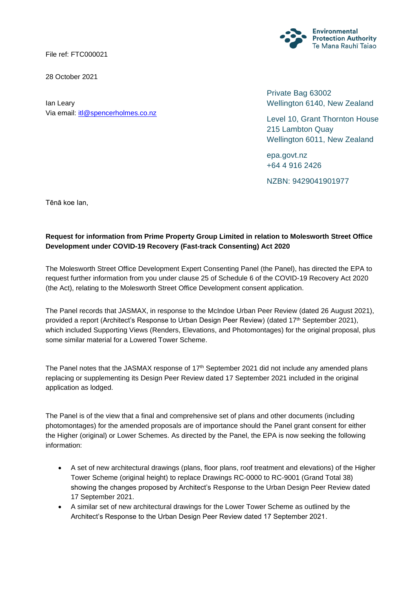File ref: FTC000021

28 October 2021

Ian Leary Via email: [itl@spencerholmes.co.nz](mailto:itl@spencerholmes.co.nz)

**Environmental Protection Authority** Te Mana Rauhī Taiao

Private Bag 63002 Wellington 6140, New Zealand

Level 10, Grant Thornton House 215 Lambton Quay Wellington 6011, New Zealand

epa.govt.nz +64 4 916 2426

NZBN: 9429041901977

Tēnā koe Ian,

## **Request for information from Prime Property Group Limited in relation to Molesworth Street Office Development under COVID-19 Recovery (Fast-track Consenting) Act 2020**

The Molesworth Street Office Development Expert Consenting Panel (the Panel), has directed the EPA to request further information from you under clause 25 of Schedule 6 of the COVID-19 Recovery Act 2020 (the Act), relating to the Molesworth Street Office Development consent application.

The Panel records that JASMAX, in response to the McIndoe Urban Peer Review (dated 26 August 2021), provided a report (Architect's Response to Urban Design Peer Review) (dated 17<sup>th</sup> September 2021), which included Supporting Views (Renders, Elevations, and Photomontages) for the original proposal, plus some similar material for a Lowered Tower Scheme.

The Panel notes that the JASMAX response of  $17<sup>th</sup>$  September 2021 did not include any amended plans replacing or supplementing its Design Peer Review dated 17 September 2021 included in the original application as lodged.

The Panel is of the view that a final and comprehensive set of plans and other documents (including photomontages) for the amended proposals are of importance should the Panel grant consent for either the Higher (original) or Lower Schemes. As directed by the Panel, the EPA is now seeking the following information:

- A set of new architectural drawings (plans, floor plans, roof treatment and elevations) of the Higher Tower Scheme (original height) to replace Drawings RC-0000 to RC-9001 (Grand Total 38) showing the changes proposed by Architect's Response to the Urban Design Peer Review dated 17 September 2021.
- A similar set of new architectural drawings for the Lower Tower Scheme as outlined by the Architect's Response to the Urban Design Peer Review dated 17 September 2021.